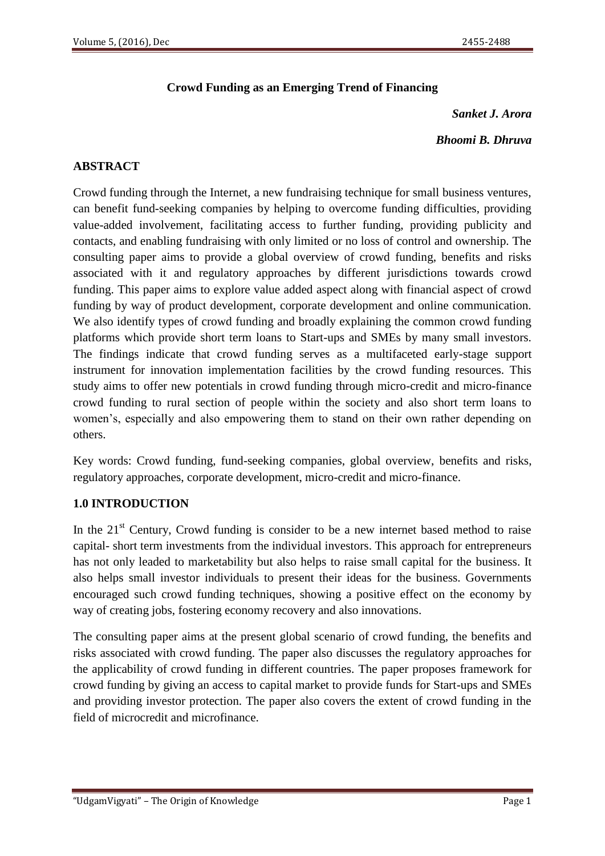# **Crowd Funding as an Emerging Trend of Financing**

*Sanket J. Arora*

*Bhoomi B. Dhruva*

## **ABSTRACT**

Crowd funding through the Internet, a new fundraising technique for small business ventures, can benefit fund-seeking companies by helping to overcome funding difficulties, providing value-added involvement, facilitating access to further funding, providing publicity and contacts, and enabling fundraising with only limited or no loss of control and ownership. The consulting paper aims to provide a global overview of crowd funding, benefits and risks associated with it and regulatory approaches by different jurisdictions towards crowd funding. This paper aims to explore value added aspect along with financial aspect of crowd funding by way of product development, corporate development and online communication. We also identify types of crowd funding and broadly explaining the common crowd funding platforms which provide short term loans to Start-ups and SMEs by many small investors. The findings indicate that crowd funding serves as a multifaceted early-stage support instrument for innovation implementation facilities by the crowd funding resources. This study aims to offer new potentials in crowd funding through micro-credit and micro-finance crowd funding to rural section of people within the society and also short term loans to women's, especially and also empowering them to stand on their own rather depending on others.

Key words: Crowd funding, fund-seeking companies, global overview, benefits and risks, regulatory approaches, corporate development, micro-credit and micro-finance.

## **1.0 INTRODUCTION**

In the  $21<sup>st</sup>$  Century, Crowd funding is consider to be a new internet based method to raise capital- short term investments from the individual investors. This approach for entrepreneurs has not only leaded to marketability but also helps to raise small capital for the business. It also helps small investor individuals to present their ideas for the business. Governments encouraged such crowd funding techniques, showing a positive effect on the economy by way of creating jobs, fostering economy recovery and also innovations.

The consulting paper aims at the present global scenario of crowd funding, the benefits and risks associated with crowd funding. The paper also discusses the regulatory approaches for the applicability of crowd funding in different countries. The paper proposes framework for crowd funding by giving an access to capital market to provide funds for Start-ups and SMEs and providing investor protection. The paper also covers the extent of crowd funding in the field of microcredit and microfinance.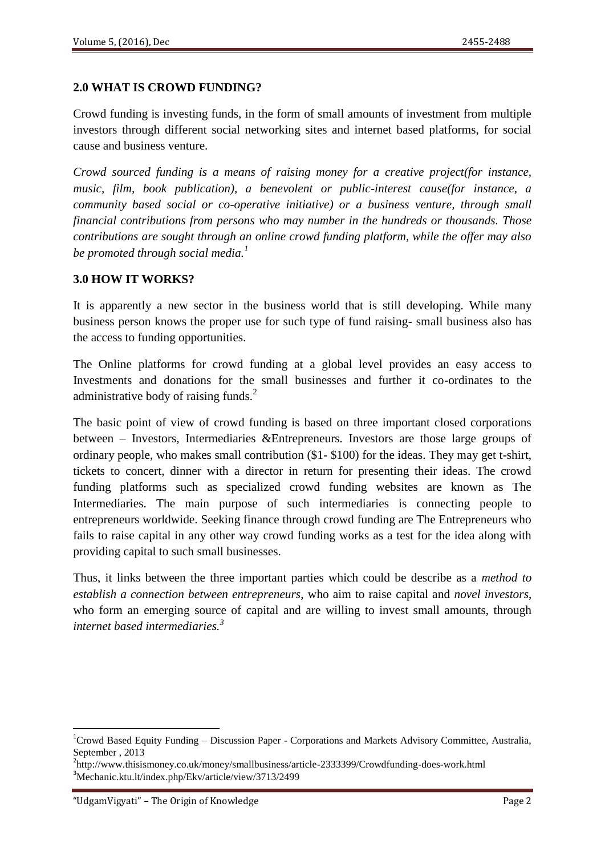## **2.0 WHAT IS CROWD FUNDING?**

Crowd funding is investing funds, in the form of small amounts of investment from multiple investors through different social networking sites and internet based platforms, for social cause and business venture.

*Crowd sourced funding is a means of raising money for a creative project(for instance, music, film, book publication), a benevolent or public-interest cause(for instance, a community based social or co-operative initiative) or a business venture, through small financial contributions from persons who may number in the hundreds or thousands. Those contributions are sought through an online crowd funding platform, while the offer may also be promoted through social media.<sup>1</sup>*

#### **3.0 HOW IT WORKS?**

It is apparently a new sector in the business world that is still developing. While many business person knows the proper use for such type of fund raising- small business also has the access to funding opportunities.

The Online platforms for crowd funding at a global level provides an easy access to Investments and donations for the small businesses and further it co-ordinates to the administrative body of raising funds.<sup>2</sup>

The basic point of view of crowd funding is based on three important closed corporations between – Investors, Intermediaries &Entrepreneurs. Investors are those large groups of ordinary people, who makes small contribution (\$1- \$100) for the ideas. They may get t-shirt, tickets to concert, dinner with a director in return for presenting their ideas. The crowd funding platforms such as specialized crowd funding websites are known as The Intermediaries. The main purpose of such intermediaries is connecting people to entrepreneurs worldwide. Seeking finance through crowd funding are The Entrepreneurs who fails to raise capital in any other way crowd funding works as a test for the idea along with providing capital to such small businesses.

Thus, it links between the three important parties which could be describe as a *method to establish a connection between entrepreneurs*, who aim to raise capital and *novel investors*, who form an emerging source of capital and are willing to invest small amounts, through *internet based intermediaries.<sup>3</sup>*

<sup>&</sup>lt;sup>1</sup>Crowd Based Equity Funding – Discussion Paper - Corporations and Markets Advisory Committee, Australia, September , 2013

<sup>&</sup>lt;sup>2</sup>http://www.thisismoney.co.uk/money/smallbusiness/article-2333399/Crowdfunding-does-work.html <sup>3</sup>Mechanic.ktu.lt/index.php/Ekv/article/view/3713/2499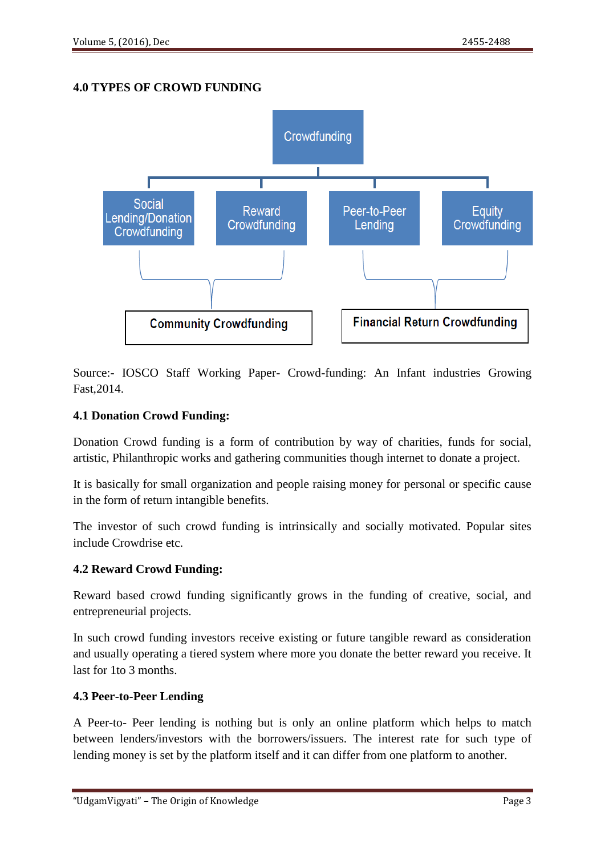# **4.0 TYPES OF CROWD FUNDING**



Source:- IOSCO Staff Working Paper- Crowd-funding: An Infant industries Growing Fast,2014.

## **4.1 Donation Crowd Funding:**

Donation Crowd funding is a form of contribution by way of charities, funds for social, artistic, Philanthropic works and gathering communities though internet to donate a project.

It is basically for small organization and people raising money for personal or specific cause in the form of return intangible benefits.

The investor of such crowd funding is intrinsically and socially motivated. Popular sites include Crowdrise etc.

## **4.2 Reward Crowd Funding:**

Reward based crowd funding significantly grows in the funding of creative, social, and entrepreneurial projects.

In such crowd funding investors receive existing or future tangible reward as consideration and usually operating a tiered system where more you donate the better reward you receive. It last for 1to 3 months.

## **4.3 Peer-to-Peer Lending**

A Peer-to- Peer lending is nothing but is only an online platform which helps to match between lenders/investors with the borrowers/issuers. The interest rate for such type of lending money is set by the platform itself and it can differ from one platform to another.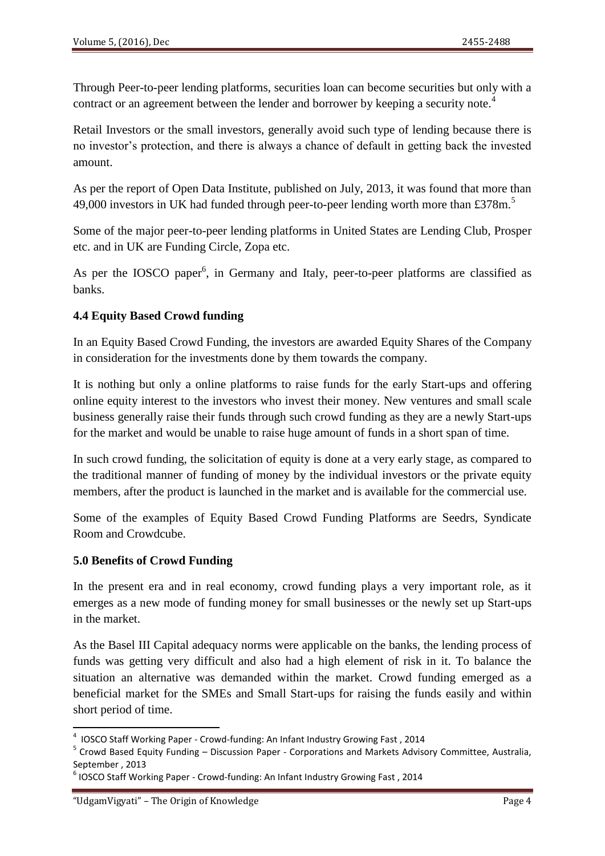Through Peer-to-peer lending platforms, securities loan can become securities but only with a contract or an agreement between the lender and borrower by keeping a security note.<sup>4</sup>

Retail Investors or the small investors, generally avoid such type of lending because there is no investor's protection, and there is always a chance of default in getting back the invested amount.

As per the report of Open Data Institute, published on July, 2013, it was found that more than 49,000 investors in UK had funded through peer-to-peer lending worth more than £378m.

Some of the major peer-to-peer lending platforms in United States are Lending Club, Prosper etc. and in UK are Funding Circle, Zopa etc.

As per the IOSCO paper<sup>6</sup>, in Germany and Italy, peer-to-peer platforms are classified as banks.

## **4.4 Equity Based Crowd funding**

In an Equity Based Crowd Funding, the investors are awarded Equity Shares of the Company in consideration for the investments done by them towards the company.

It is nothing but only a online platforms to raise funds for the early Start-ups and offering online equity interest to the investors who invest their money. New ventures and small scale business generally raise their funds through such crowd funding as they are a newly Start-ups for the market and would be unable to raise huge amount of funds in a short span of time.

In such crowd funding, the solicitation of equity is done at a very early stage, as compared to the traditional manner of funding of money by the individual investors or the private equity members, after the product is launched in the market and is available for the commercial use.

Some of the examples of Equity Based Crowd Funding Platforms are Seedrs, Syndicate Room and Crowdcube.

## **5.0 Benefits of Crowd Funding**

In the present era and in real economy, crowd funding plays a very important role, as it emerges as a new mode of funding money for small businesses or the newly set up Start-ups in the market.

As the Basel III Capital adequacy norms were applicable on the banks, the lending process of funds was getting very difficult and also had a high element of risk in it. To balance the situation an alternative was demanded within the market. Crowd funding emerged as a beneficial market for the SMEs and Small Start-ups for raising the funds easily and within short period of time.

1

<sup>4</sup> IOSCO Staff Working Paper - Crowd-funding: An Infant Industry Growing Fast , 2014

<sup>&</sup>lt;sup>5</sup> Crowd Based Equity Funding – Discussion Paper - Corporations and Markets Advisory Committee, Australia, September , 2013

 $^6$  IOSCO Staff Working Paper - Crowd-funding: An Infant Industry Growing Fast, 2014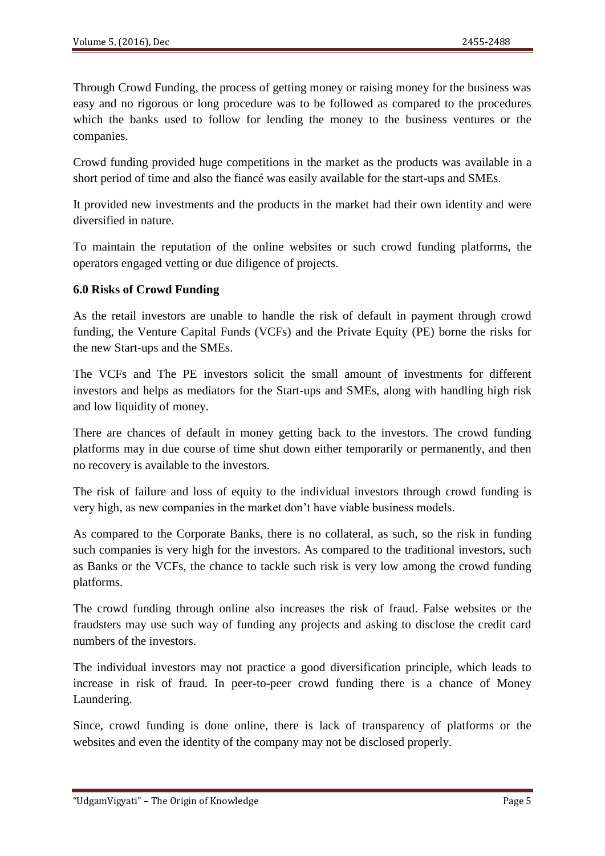Through Crowd Funding, the process of getting money or raising money for the business was easy and no rigorous or long procedure was to be followed as compared to the procedures which the banks used to follow for lending the money to the business ventures or the companies.

Crowd funding provided huge competitions in the market as the products was available in a short period of time and also the fiancé was easily available for the start-ups and SMEs.

It provided new investments and the products in the market had their own identity and were diversified in nature.

To maintain the reputation of the online websites or such crowd funding platforms, the operators engaged vetting or due diligence of projects.

## **6.0 Risks of Crowd Funding**

As the retail investors are unable to handle the risk of default in payment through crowd funding, the Venture Capital Funds (VCFs) and the Private Equity (PE) borne the risks for the new Start-ups and the SMEs.

The VCFs and The PE investors solicit the small amount of investments for different investors and helps as mediators for the Start-ups and SMEs, along with handling high risk and low liquidity of money.

There are chances of default in money getting back to the investors. The crowd funding platforms may in due course of time shut down either temporarily or permanently, and then no recovery is available to the investors.

The risk of failure and loss of equity to the individual investors through crowd funding is very high, as new companies in the market don't have viable business models.

As compared to the Corporate Banks, there is no collateral, as such, so the risk in funding such companies is very high for the investors. As compared to the traditional investors, such as Banks or the VCFs, the chance to tackle such risk is very low among the crowd funding platforms.

The crowd funding through online also increases the risk of fraud. False websites or the fraudsters may use such way of funding any projects and asking to disclose the credit card numbers of the investors.

The individual investors may not practice a good diversification principle, which leads to increase in risk of fraud. In peer-to-peer crowd funding there is a chance of Money Laundering.

Since, crowd funding is done online, there is lack of transparency of platforms or the websites and even the identity of the company may not be disclosed properly.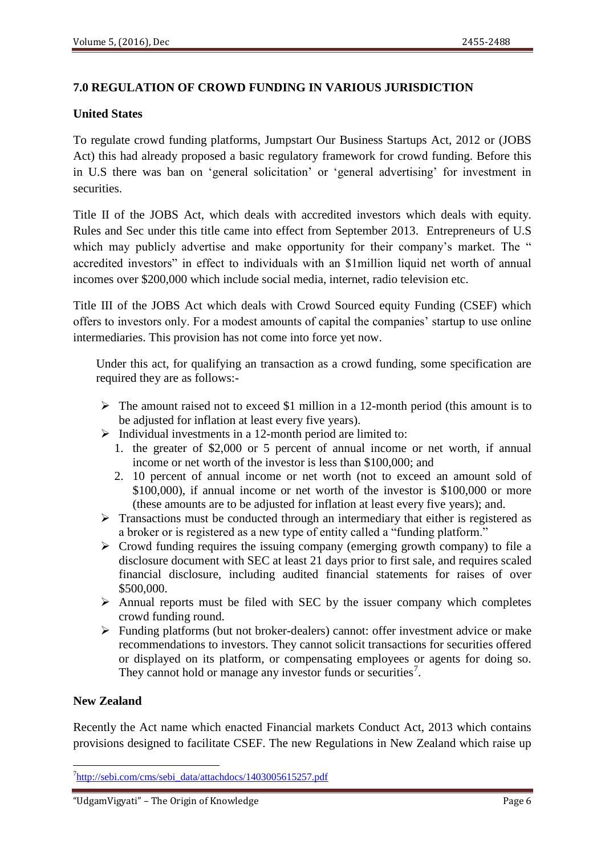## **7.0 REGULATION OF CROWD FUNDING IN VARIOUS JURISDICTION**

## **United States**

To regulate crowd funding platforms, Jumpstart Our Business Startups Act, 2012 or (JOBS Act) this had already proposed a basic regulatory framework for crowd funding. Before this in U.S there was ban on ‗general solicitation' or ‗general advertising' for investment in securities.

Title II of the JOBS Act, which deals with accredited investors which deals with equity. Rules and Sec under this title came into effect from September 2013. Entrepreneurs of U.S which may publicly advertise and make opportunity for their company's market. The " accredited investors" in effect to individuals with an \$1million liquid net worth of annual incomes over \$200,000 which include social media, internet, radio television etc.

Title III of the JOBS Act which deals with Crowd Sourced equity Funding (CSEF) which offers to investors only. For a modest amounts of capital the companies' startup to use online intermediaries. This provision has not come into force yet now.

Under this act, for qualifying an transaction as a crowd funding, some specification are required they are as follows:-

- $\triangleright$  The amount raised not to exceed \$1 million in a 12-month period (this amount is to be adjusted for inflation at least every five years).
- $\triangleright$  Individual investments in a 12-month period are limited to:
	- 1. the greater of \$2,000 or 5 percent of annual income or net worth, if annual income or net worth of the investor is less than \$100,000; and
	- 2. 10 percent of annual income or net worth (not to exceed an amount sold of \$100,000), if annual income or net worth of the investor is \$100,000 or more (these amounts are to be adjusted for inflation at least every five years); and.
- $\triangleright$  Transactions must be conducted through an intermediary that either is registered as a broker or is registered as a new type of entity called a "funding platform."
- $\triangleright$  Crowd funding requires the issuing company (emerging growth company) to file a disclosure document with SEC at least 21 days prior to first sale, and requires scaled financial disclosure, including audited financial statements for raises of over \$500,000.
- $\triangleright$  Annual reports must be filed with SEC by the issuer company which completes crowd funding round.
- $\triangleright$  Funding platforms (but not broker-dealers) cannot: offer investment advice or make recommendations to investors. They cannot solicit transactions for securities offered or displayed on its platform, or compensating employees or agents for doing so. They cannot hold or manage any investor funds or securities<sup>7</sup>.

## **New Zealand**

**.** 

Recently the Act name which enacted Financial markets Conduct Act, 2013 which contains provisions designed to facilitate CSEF. The new Regulations in New Zealand which raise up

<sup>&</sup>lt;sup>7</sup>[http://sebi.com/cms/sebi\\_data/attachdocs/1403005615257.pdf](http://sebi.com/cms/sebi_data/attachdocs/1403005615257.pdf)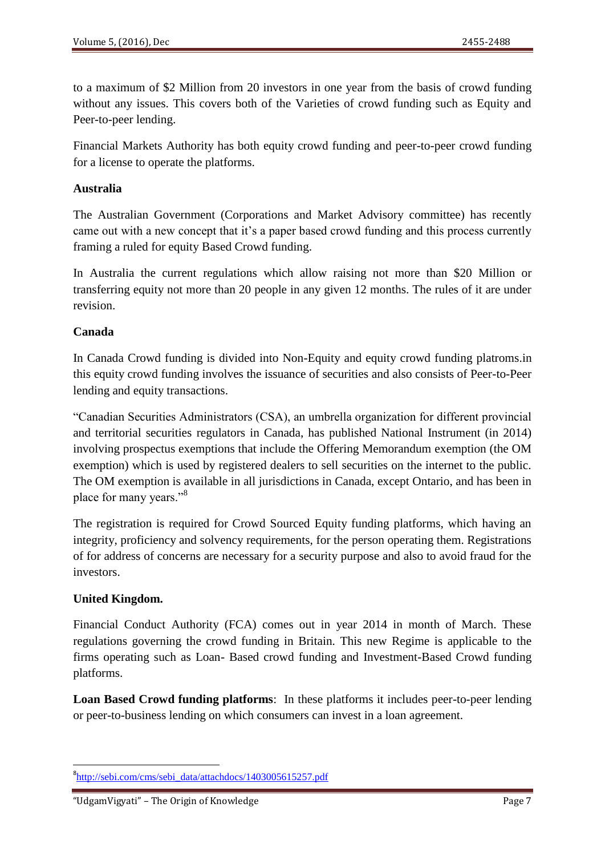to a maximum of \$2 Million from 20 investors in one year from the basis of crowd funding without any issues. This covers both of the Varieties of crowd funding such as Equity and Peer-to-peer lending.

Financial Markets Authority has both equity crowd funding and peer-to-peer crowd funding for a license to operate the platforms.

#### **Australia**

The Australian Government (Corporations and Market Advisory committee) has recently came out with a new concept that it's a paper based crowd funding and this process currently framing a ruled for equity Based Crowd funding.

In Australia the current regulations which allow raising not more than \$20 Million or transferring equity not more than 20 people in any given 12 months. The rules of it are under revision.

#### **Canada**

In Canada Crowd funding is divided into Non-Equity and equity crowd funding platroms.in this equity crowd funding involves the issuance of securities and also consists of Peer-to-Peer lending and equity transactions.

―Canadian Securities Administrators (CSA), an umbrella organization for different provincial and territorial securities regulators in Canada, has published National Instrument (in 2014) involving prospectus exemptions that include the Offering Memorandum exemption (the OM exemption) which is used by registered dealers to sell securities on the internet to the public. The OM exemption is available in all jurisdictions in Canada, except Ontario, and has been in place for many years."<sup>8</sup>

The registration is required for Crowd Sourced Equity funding platforms, which having an integrity, proficiency and solvency requirements, for the person operating them. Registrations of for address of concerns are necessary for a security purpose and also to avoid fraud for the investors.

## **United Kingdom.**

Financial Conduct Authority (FCA) comes out in year 2014 in month of March. These regulations governing the crowd funding in Britain. This new Regime is applicable to the firms operating such as Loan- Based crowd funding and Investment-Based Crowd funding platforms.

**Loan Based Crowd funding platforms**: In these platforms it includes peer-to-peer lending or peer-to-business lending on which consumers can invest in a loan agreement.

**<sup>.</sup>** <sup>8</sup>[http://sebi.com/cms/sebi\\_data/attachdocs/1403005615257.pdf](http://sebi.com/cms/sebi_data/attachdocs/1403005615257.pdf)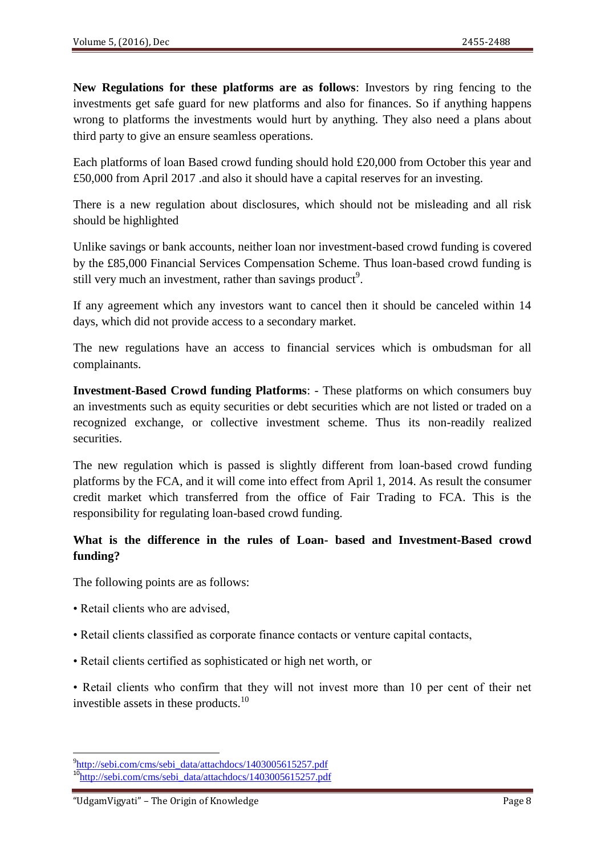**New Regulations for these platforms are as follows**: Investors by ring fencing to the investments get safe guard for new platforms and also for finances. So if anything happens wrong to platforms the investments would hurt by anything. They also need a plans about third party to give an ensure seamless operations.

Each platforms of loan Based crowd funding should hold £20,000 from October this year and £50,000 from April 2017 .and also it should have a capital reserves for an investing.

There is a new regulation about disclosures, which should not be misleading and all risk should be highlighted

Unlike savings or bank accounts, neither loan nor investment-based crowd funding is covered by the £85,000 Financial Services Compensation Scheme. Thus loan-based crowd funding is still very much an investment, rather than savings product<sup>9</sup>.

If any agreement which any investors want to cancel then it should be canceled within 14 days, which did not provide access to a secondary market.

The new regulations have an access to financial services which is ombudsman for all complainants.

**Investment-Based Crowd funding Platforms**: - These platforms on which consumers buy an investments such as equity securities or debt securities which are not listed or traded on a recognized exchange, or collective investment scheme. Thus its non-readily realized securities.

The new regulation which is passed is slightly different from loan-based crowd funding platforms by the FCA, and it will come into effect from April 1, 2014. As result the consumer credit market which transferred from the office of Fair Trading to FCA. This is the responsibility for regulating loan-based crowd funding.

## **What is the difference in the rules of Loan- based and Investment-Based crowd funding?**

The following points are as follows:

- Retail clients who are advised,
- Retail clients classified as corporate finance contacts or venture capital contacts,
- Retail clients certified as sophisticated or high net worth, or

• Retail clients who confirm that they will not invest more than 10 per cent of their net investible assets in these products.<sup>10</sup>

**<sup>.</sup>** <sup>9</sup>[http://sebi.com/cms/sebi\\_data/attachdocs/1403005615257.pdf](http://sebi.com/cms/sebi_data/attachdocs/1403005615257.pdf) 10<sub>[http://sebi.com/cms/sebi\\_data/attachdocs/1403005615257.pdf](http://sebi.com/cms/sebi_data/attachdocs/1403005615257.pdf)</sub>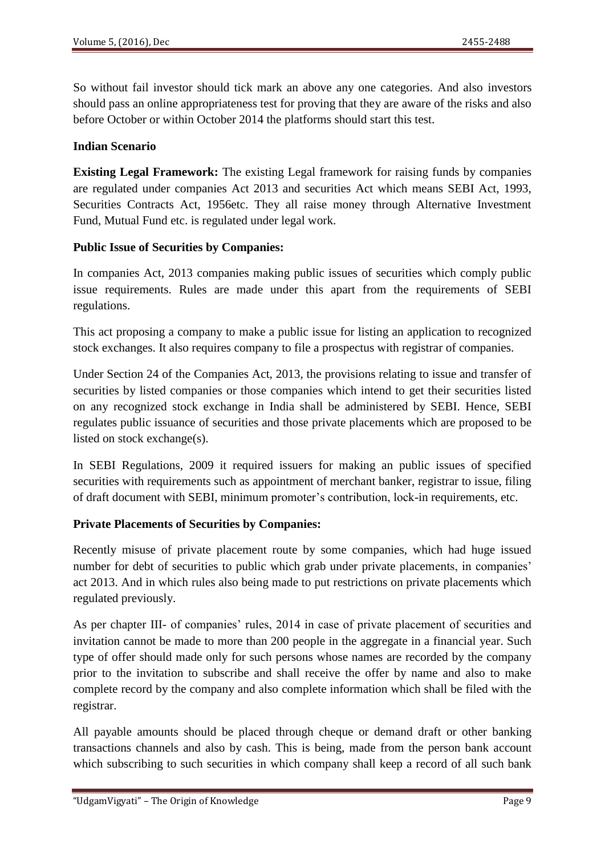So without fail investor should tick mark an above any one categories. And also investors should pass an online appropriateness test for proving that they are aware of the risks and also before October or within October 2014 the platforms should start this test.

#### **Indian Scenario**

**Existing Legal Framework:** The existing Legal framework for raising funds by companies are regulated under companies Act 2013 and securities Act which means SEBI Act, 1993, Securities Contracts Act, 1956etc. They all raise money through Alternative Investment Fund, Mutual Fund etc. is regulated under legal work.

#### **Public Issue of Securities by Companies:**

In companies Act, 2013 companies making public issues of securities which comply public issue requirements. Rules are made under this apart from the requirements of SEBI regulations.

This act proposing a company to make a public issue for listing an application to recognized stock exchanges. It also requires company to file a prospectus with registrar of companies.

Under Section 24 of the Companies Act, 2013, the provisions relating to issue and transfer of securities by listed companies or those companies which intend to get their securities listed on any recognized stock exchange in India shall be administered by SEBI. Hence, SEBI regulates public issuance of securities and those private placements which are proposed to be listed on stock exchange(s).

In SEBI Regulations, 2009 it required issuers for making an public issues of specified securities with requirements such as appointment of merchant banker, registrar to issue, filing of draft document with SEBI, minimum promoter's contribution, lock-in requirements, etc.

## **Private Placements of Securities by Companies:**

Recently misuse of private placement route by some companies, which had huge issued number for debt of securities to public which grab under private placements, in companies' act 2013. And in which rules also being made to put restrictions on private placements which regulated previously.

As per chapter III- of companies' rules, 2014 in case of private placement of securities and invitation cannot be made to more than 200 people in the aggregate in a financial year. Such type of offer should made only for such persons whose names are recorded by the company prior to the invitation to subscribe and shall receive the offer by name and also to make complete record by the company and also complete information which shall be filed with the registrar.

All payable amounts should be placed through cheque or demand draft or other banking transactions channels and also by cash. This is being, made from the person bank account which subscribing to such securities in which company shall keep a record of all such bank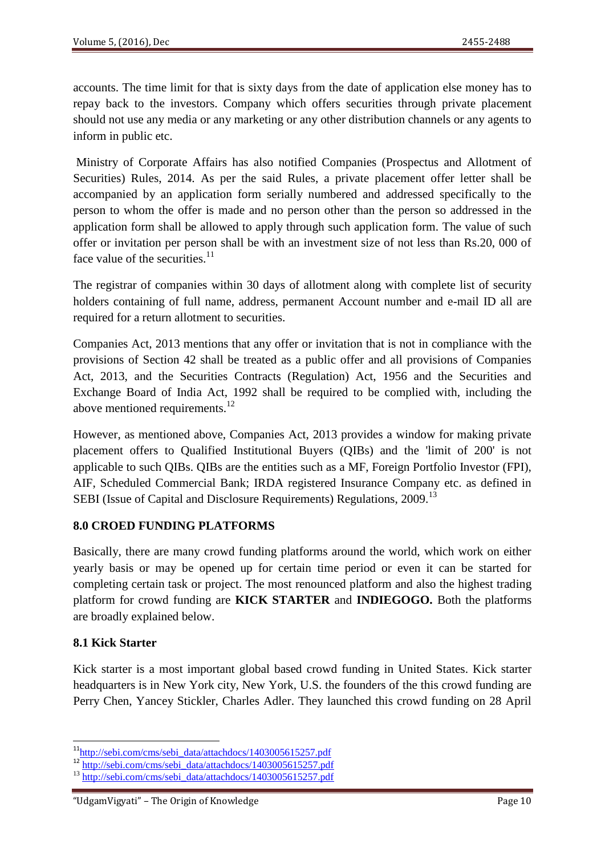accounts. The time limit for that is sixty days from the date of application else money has to repay back to the investors. Company which offers securities through private placement should not use any media or any marketing or any other distribution channels or any agents to inform in public etc.

Ministry of Corporate Affairs has also notified Companies (Prospectus and Allotment of Securities) Rules, 2014. As per the said Rules, a private placement offer letter shall be accompanied by an application form serially numbered and addressed specifically to the person to whom the offer is made and no person other than the person so addressed in the application form shall be allowed to apply through such application form. The value of such offer or invitation per person shall be with an investment size of not less than Rs.20, 000 of face value of the securities. $^{11}$ 

The registrar of companies within 30 days of allotment along with complete list of security holders containing of full name, address, permanent Account number and e-mail ID all are required for a return allotment to securities.

Companies Act, 2013 mentions that any offer or invitation that is not in compliance with the provisions of Section 42 shall be treated as a public offer and all provisions of Companies Act, 2013, and the Securities Contracts (Regulation) Act, 1956 and the Securities and Exchange Board of India Act, 1992 shall be required to be complied with, including the above mentioned requirements.<sup>12</sup>

However, as mentioned above, Companies Act, 2013 provides a window for making private placement offers to Qualified Institutional Buyers (QIBs) and the 'limit of 200' is not applicable to such QIBs. QIBs are the entities such as a MF, Foreign Portfolio Investor (FPI), AIF, Scheduled Commercial Bank; IRDA registered Insurance Company etc. as defined in SEBI (Issue of Capital and Disclosure Requirements) Regulations, 2009.<sup>13</sup>

## **8.0 CROED FUNDING PLATFORMS**

Basically, there are many crowd funding platforms around the world, which work on either yearly basis or may be opened up for certain time period or even it can be started for completing certain task or project. The most renounced platform and also the highest trading platform for crowd funding are **KICK STARTER** and **INDIEGOGO.** Both the platforms are broadly explained below.

## **8.1 Kick Starter**

**.** 

Kick starter is a most important global based crowd funding in United States. Kick starter headquarters is in New York city, New York, U.S. the founders of the this crowd funding are Perry Chen, Yancey Stickler, Charles Adler. They launched this crowd funding on 28 April

<sup>&</sup>lt;sup>11</sup>[http://sebi.com/cms/sebi\\_data/attachdocs/1403005615257.pdf](http://sebi.com/cms/sebi_data/attachdocs/1403005615257.pdf)

 $12 \frac{\text{http://sebi.com/cms/see1}}{\text{http://sebi.com/cms/sebi_data/attachedocs/1403005615257.pdf}}$ 

 $13 \frac{\text{http://sebi.com/cms/sebi-data/attachdocs/1403005615257.pdf}}{$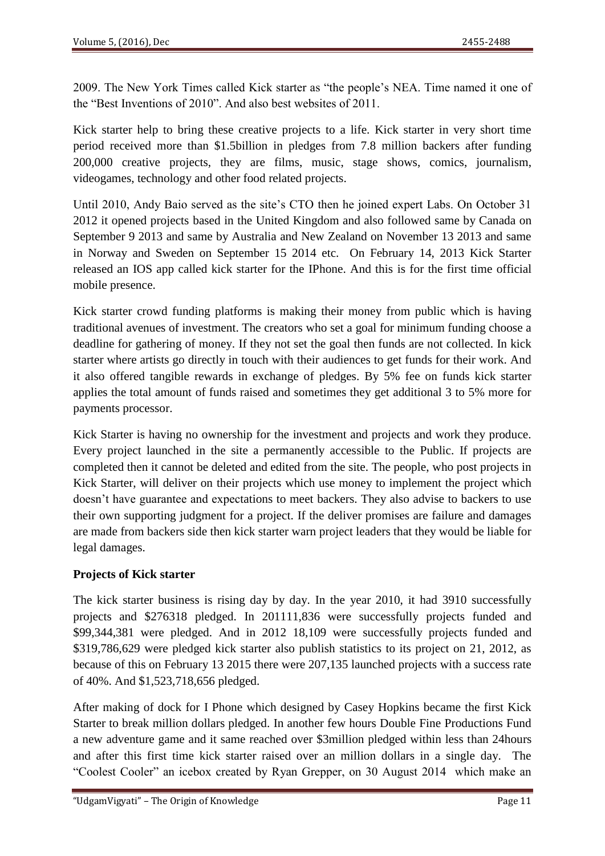2009. The New York Times called Kick starter as "the people's NEA. Time named it one of the "Best Inventions of 2010". And also best websites of 2011.

Kick starter help to bring these creative projects to a life. Kick starter in very short time period received more than \$1.5billion in pledges from 7.8 million backers after funding 200,000 creative projects, they are films, music, stage shows, comics, journalism, videogames, technology and other food related projects.

Until 2010, Andy Baio served as the site's CTO then he joined expert Labs. On October 31 2012 it opened projects based in the United Kingdom and also followed same by Canada on September 9 2013 and same by Australia and New Zealand on November 13 2013 and same in Norway and Sweden on September 15 2014 etc. On February 14, 2013 Kick Starter released an IOS app called kick starter for the IPhone. And this is for the first time official mobile presence.

Kick starter crowd funding platforms is making their money from public which is having traditional avenues of investment. The creators who set a goal for minimum funding choose a deadline for gathering of money. If they not set the goal then funds are not collected. In kick starter where artists go directly in touch with their audiences to get funds for their work. And it also offered tangible rewards in exchange of pledges. By 5% fee on funds kick starter applies the total amount of funds raised and sometimes they get additional 3 to 5% more for payments processor.

Kick Starter is having no ownership for the investment and projects and work they produce. Every project launched in the site a permanently accessible to the Public. If projects are completed then it cannot be deleted and edited from the site. The people, who post projects in Kick Starter, will deliver on their projects which use money to implement the project which doesn't have guarantee and expectations to meet backers. They also advise to backers to use their own supporting judgment for a project. If the deliver promises are failure and damages are made from backers side then kick starter warn project leaders that they would be liable for legal damages.

## **Projects of Kick starter**

The kick starter business is rising day by day. In the year 2010, it had 3910 successfully projects and \$276318 pledged. In 201111,836 were successfully projects funded and \$99,344,381 were pledged. And in 2012 18,109 were successfully projects funded and \$319,786,629 were pledged kick starter also publish statistics to its project on 21, 2012, as because of this on February 13 2015 there were 207,135 launched projects with a success rate of 40%. And \$1,523,718,656 pledged.

After making of dock for I Phone which designed by Casey Hopkins became the first Kick Starter to break million dollars pledged. In another few hours Double Fine Productions Fund a new adventure game and it same reached over \$3million pledged within less than 24hours and after this first time kick starter raised over an million dollars in a single day. The "Coolest Cooler" an icebox created by Ryan Grepper, on 30 August 2014 which make an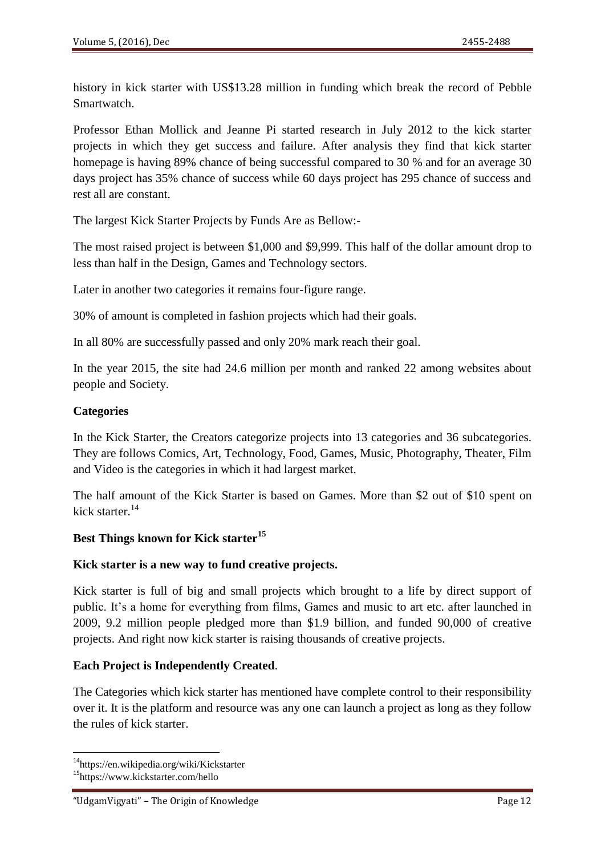history in kick starter with US\$13.28 million in funding which break the record of Pebble Smartwatch.

Professor Ethan Mollick and Jeanne Pi started research in July 2012 to the kick starter projects in which they get success and failure. After analysis they find that kick starter homepage is having 89% chance of being successful compared to 30 % and for an average 30 days project has 35% chance of success while 60 days project has 295 chance of success and rest all are constant.

The largest Kick Starter Projects by Funds Are as Bellow:-

The most raised project is between \$1,000 and \$9,999. This half of the dollar amount drop to less than half in the Design, Games and Technology sectors.

Later in another two categories it remains four-figure range.

30% of amount is completed in fashion projects which had their goals.

In all 80% are successfully passed and only 20% mark reach their goal.

In the year 2015, the site had 24.6 million per month and ranked 22 among websites about people and Society.

#### **Categories**

In the Kick Starter, the Creators categorize projects into 13 categories and 36 subcategories. They are follows Comics, Art, Technology, Food, Games, Music, Photography, Theater, Film and Video is the categories in which it had largest market.

The half amount of the Kick Starter is based on Games. More than \$2 out of \$10 spent on kick starter.<sup>14</sup>

## **Best Things known for Kick starter<sup>15</sup>**

## **Kick starter is a new way to fund creative projects.**

Kick starter is full of big and small projects which brought to a life by direct support of public. It's a home for everything from films, Games and music to art etc. after launched in 2009, 9.2 million people pledged more than \$1.9 billion, and funded 90,000 of creative projects. And right now kick starter is raising thousands of creative projects.

## **Each Project is Independently Created**.

The Categories which kick starter has mentioned have complete control to their responsibility over it. It is the platform and resource was any one can launch a project as long as they follow the rules of kick starter.

1

<sup>&</sup>lt;sup>14</sup>https://en.wikipedia.org/wiki/Kickstarter

<sup>15</sup>https://www.kickstarter.com/hello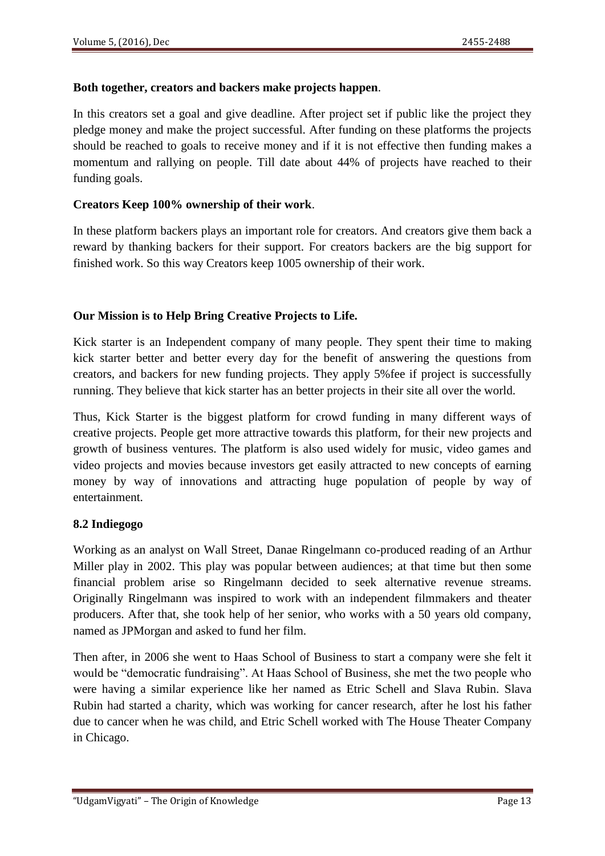#### **Both together, creators and backers make projects happen**.

In this creators set a goal and give deadline. After project set if public like the project they pledge money and make the project successful. After funding on these platforms the projects should be reached to goals to receive money and if it is not effective then funding makes a momentum and rallying on people. Till date about 44% of projects have reached to their funding goals.

#### **Creators Keep 100% ownership of their work**.

In these platform backers plays an important role for creators. And creators give them back a reward by thanking backers for their support. For creators backers are the big support for finished work. So this way Creators keep 1005 ownership of their work.

#### **Our Mission is to Help Bring Creative Projects to Life.**

Kick starter is an Independent company of many people. They spent their time to making kick starter better and better every day for the benefit of answering the questions from creators, and backers for new funding projects. They apply 5%fee if project is successfully running. They believe that kick starter has an better projects in their site all over the world.

Thus, Kick Starter is the biggest platform for crowd funding in many different ways of creative projects. People get more attractive towards this platform, for their new projects and growth of business ventures. The platform is also used widely for music, video games and video projects and movies because investors get easily attracted to new concepts of earning money by way of innovations and attracting huge population of people by way of entertainment.

## **8.2 Indiegogo**

Working as an analyst on Wall Street, Danae Ringelmann co-produced reading of an Arthur Miller play in 2002. This play was popular between audiences; at that time but then some financial problem arise so Ringelmann decided to seek alternative revenue streams. Originally Ringelmann was inspired to work with an independent filmmakers and theater producers. After that, she took help of her senior, who works with a 50 years old company, named as JPMorgan and asked to fund her film.

Then after, in 2006 she went to Haas School of Business to start a company were she felt it would be "democratic fundraising". At Haas School of Business, she met the two people who were having a similar experience like her named as Etric Schell and Slava Rubin. Slava Rubin had started a charity, which was working for cancer research, after he lost his father due to cancer when he was child, and Etric Schell worked with The House Theater Company in Chicago.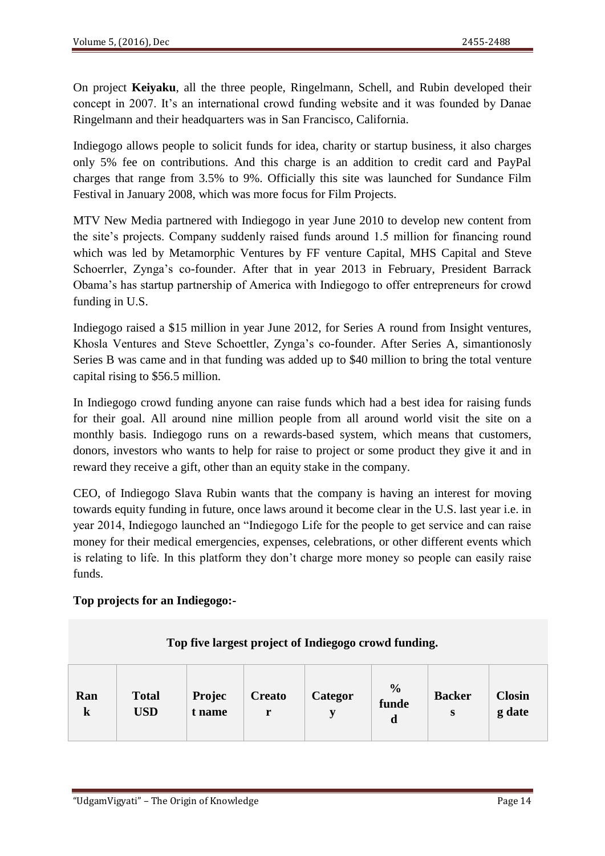On project **Keiyaku**, all the three people, Ringelmann, Schell, and Rubin developed their concept in 2007. It's an international crowd funding website and it was founded by Danae Ringelmann and their headquarters was in San Francisco, California.

Indiegogo allows people to solicit funds for idea, charity or startup business, it also charges only 5% fee on contributions. And this charge is an addition to credit card and PayPal charges that range from 3.5% to 9%. Officially this site was launched for Sundance Film Festival in January 2008, which was more focus for Film Projects.

MTV New Media partnered with Indiegogo in year June 2010 to develop new content from the site's projects. Company suddenly raised funds around 1.5 million for financing round which was led by Metamorphic Ventures by FF venture Capital, MHS Capital and Steve Schoerrler, Zynga's co-founder. After that in year 2013 in February, President Barrack Obama's has startup partnership of America with Indiegogo to offer entrepreneurs for crowd funding in U.S.

Indiegogo raised a \$15 million in year June 2012, for Series A round from Insight ventures, Khosla Ventures and Steve Schoettler, Zynga's co-founder. After Series A, simantionosly Series B was came and in that funding was added up to \$40 million to bring the total venture capital rising to \$56.5 million.

In Indiegogo crowd funding anyone can raise funds which had a best idea for raising funds for their goal. All around nine million people from all around world visit the site on a monthly basis. Indiegogo runs on a rewards-based system, which means that customers, donors, investors who wants to help for raise to project or some product they give it and in reward they receive a gift, other than an equity stake in the company.

CEO, of Indiegogo Slava Rubin wants that the company is having an interest for moving towards equity funding in future, once laws around it become clear in the U.S. last year i.e. in year 2014, Indiegogo launched an "Indiegogo Life for the people to get service and can raise money for their medical emergencies, expenses, celebrations, or other different events which is relating to life. In this platform they don't charge more money so people can easily raise funds.

## **Top projects for an Indiegogo:-**

| Top five largest project of Indiegogo crowd funding. |                            |                  |                    |              |                             |                    |                         |  |  |  |  |  |
|------------------------------------------------------|----------------------------|------------------|--------------------|--------------|-----------------------------|--------------------|-------------------------|--|--|--|--|--|
| Ran<br>$\bf k$                                       | <b>Total</b><br><b>USD</b> | Projec<br>t name | <b>Creato</b><br>r | Categor<br>v | $\frac{0}{0}$<br>funde<br>d | <b>Backer</b><br>S | <b>Closin</b><br>g date |  |  |  |  |  |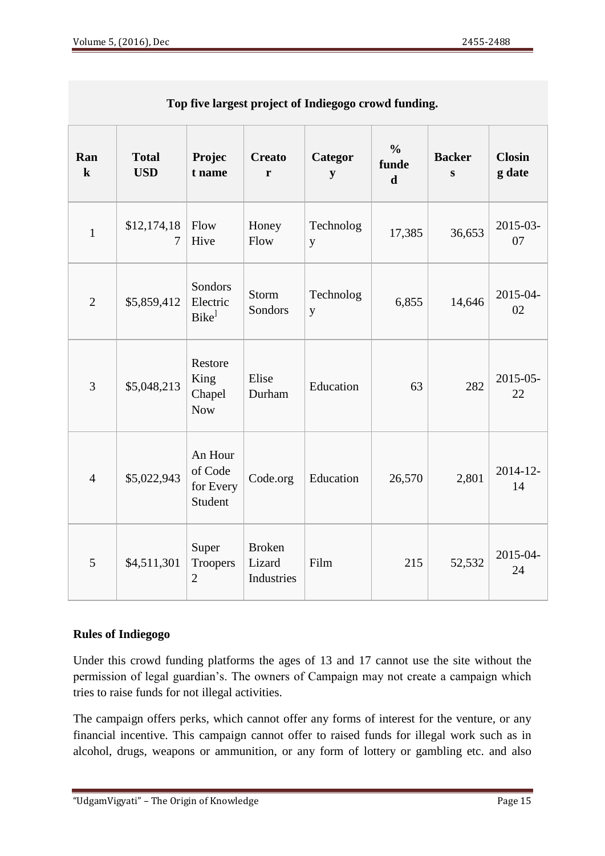| Top live largest project of malegogo crowd funding. |                            |                                            |                                       |                |                                       |                            |                         |  |  |  |  |
|-----------------------------------------------------|----------------------------|--------------------------------------------|---------------------------------------|----------------|---------------------------------------|----------------------------|-------------------------|--|--|--|--|
| Ran<br>$\bf k$                                      | <b>Total</b><br><b>USD</b> | Projec<br>t name                           | <b>Creato</b><br>r                    | Categor<br>y   | $\frac{0}{0}$<br>funde<br>$\mathbf d$ | <b>Backer</b><br>${\bf S}$ | <b>Closin</b><br>g date |  |  |  |  |
| $\mathbf{1}$                                        | \$12,174,18<br>7           | Flow<br>Hive                               | Honey<br>Flow                         | Technolog<br>y | 17,385                                | 36,653                     | 2015-03-<br>07          |  |  |  |  |
| $\overline{2}$                                      | \$5,859,412                | Sondors<br>Electric<br>Bike <sup>1</sup>   | Storm<br>Sondors                      | Technolog<br>y | 6,855                                 | 14,646                     | 2015-04-<br>02          |  |  |  |  |
| $\overline{3}$                                      | \$5,048,213                | Restore<br>King<br>Chapel<br><b>Now</b>    | Elise<br>Durham                       | Education      | 63                                    | 282                        | $2015 - 05$<br>22       |  |  |  |  |
| $\overline{4}$                                      | \$5,022,943                | An Hour<br>of Code<br>for Every<br>Student | Code.org                              | Education      | 26,570                                | 2,801                      | $2014 - 12$<br>14       |  |  |  |  |
| 5                                                   | \$4,511,301                | Super<br><b>Troopers</b><br>$\overline{2}$ | <b>Broken</b><br>Lizard<br>Industries | Film           | 215                                   | 52,532                     | 2015-04-<br>24          |  |  |  |  |

**Top five largest project of Indiegogo crowd funding.**

## **Rules of Indiegogo**

Under this crowd funding platforms the ages of 13 and 17 cannot use the site without the permission of legal guardian's. The owners of Campaign may not create a campaign which tries to raise funds for not illegal activities.

The campaign offers perks, which cannot offer any forms of interest for the venture, or any financial incentive. This campaign cannot offer to raised funds for illegal work such as in alcohol, drugs, weapons or ammunition, or any form of lottery or gambling etc. and also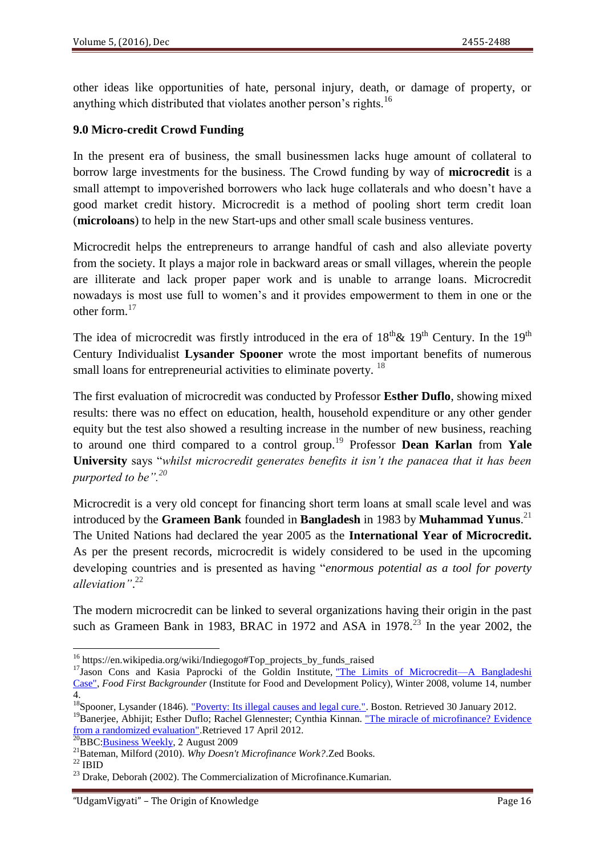other ideas like opportunities of hate, personal injury, death, or damage of property, or anything which distributed that violates another person's rights.<sup>16</sup>

#### **9.0 Micro-credit Crowd Funding**

In the present era of business, the small businessmen lacks huge amount of collateral to borrow large investments for the business. The Crowd funding by way of **microcredit** is a small attempt to impoverished borrowers who lack huge collaterals and who doesn't have a good market credit history. Microcredit is a method of pooling short term credit loan (**microloans**) to help in the new Start-ups and other small scale business ventures.

Microcredit helps the entrepreneurs to arrange handful of cash and also alleviate poverty from the society. It plays a major role in backward areas or small villages, wherein the people are illiterate and lack proper paper work and is unable to arrange loans. Microcredit nowadays is most use full to women's and it provides empowerment to them in one or the other form.<sup>17</sup>

The idea of microcredit was firstly introduced in the era of  $18<sup>th</sup>$ &  $19<sup>th</sup>$  Century. In the  $19<sup>th</sup>$ Century Individualist **Lysander Spooner** wrote the most important benefits of numerous small loans for entrepreneurial activities to eliminate poverty. <sup>18</sup>

The first evaluation of microcredit was conducted by Professor **Esther Duflo**, showing mixed results: there was no effect on education, health, household expenditure or any other gender equity but the test also showed a resulting increase in the number of new business, reaching to around one third compared to a control group.<sup>19</sup> Professor **Dean Karlan** from **Yale**  University says "whilst microcredit generates benefits it isn't the panacea that it has been *purported to be".<sup>20</sup>*

Microcredit is a very old concept for financing short term loans at small scale level and was introduced by the **Grameen Bank** founded in **Bangladesh** in 1983 by **Muhammad Yunus**. 21 The United Nations had declared the year 2005 as the **International Year of Microcredit.** As per the present records, microcredit is widely considered to be used in the upcoming developing countries and is presented as having "*enormous potential as a tool for poverty alleviation"*. 22

The modern microcredit can be linked to several organizations having their origin in the past such as Grameen Bank in 1983, BRAC in 1972 and ASA in 1978.<sup>23</sup> In the year 2002, the

**<sup>.</sup>** <sup>16</sup> https://en.wikipedia.org/wiki/Indiegogo#Top\_projects\_by\_funds\_raised

<sup>&</sup>lt;sup>17</sup>Jason Cons and Kasia Paprocki of the Goldin Institute, "The Limits of Microcredit—A Bangladeshi [Case",](http://www.foodfirst.org/en/node/2351) *Food First Backgrounder* (Institute for Food and Development Policy), Winter 2008, volume 14, number 4.

<sup>&</sup>lt;sup>18</sup>Spooner, Lysander (1846). ["Poverty: Its illegal causes and legal cure.".](http://www.lysanderspooner.org/Poverty.htm) Boston. Retrieved 30 January 2012.

<sup>&</sup>lt;sup>19</sup>Banerjee, Abhijit; Esther Duflo; Rachel Glennester; Cynthia Kinnan. "The miracle of microfinance? Evidence [from a randomized evaluation".R](http://www.povertyactionlab.org/evaluation/measuring-impact-microfinance-hyderabad-india)etrieved 17 April 2012.

 $\frac{20}{20}$ BBC[:Business Weekly,](http://www.bbc.co.uk/programmes/p003s71s) 2 August 2009

<sup>21</sup>Bateman, Milford (2010). *Why Doesn't Microfinance Work?*.Zed Books.

 $22$  IBID

<sup>&</sup>lt;sup>23</sup> Drake, Deborah (2002). The Commercialization of Microfinance.Kumarian.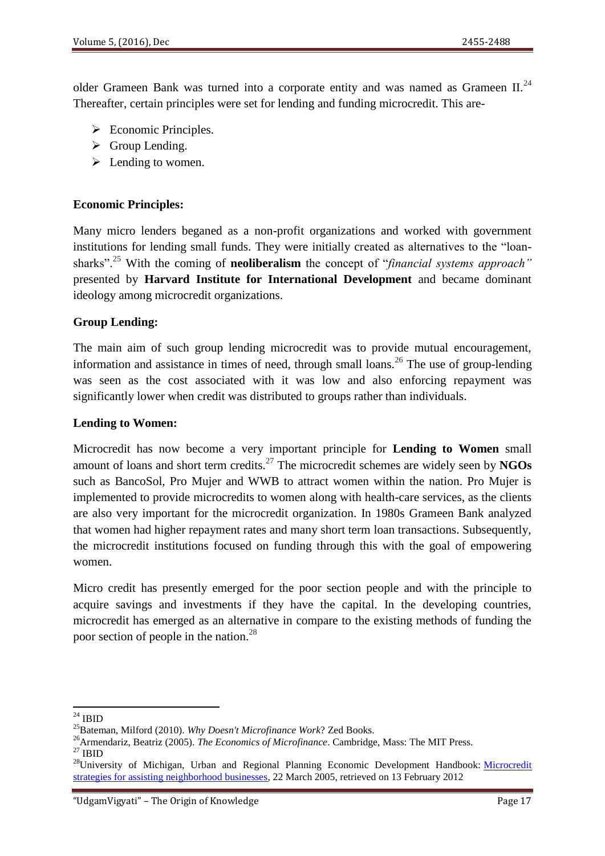older Grameen Bank was turned into a corporate entity and was named as Grameen II.<sup>24</sup> Thereafter, certain principles were set for lending and funding microcredit. This are-

- $\triangleright$  Economic Principles.
- $\triangleright$  Group Lending.
- $\blacktriangleright$  Lending to women.

#### **Economic Principles:**

Many micro lenders beganed as a non-profit organizations and worked with government institutions for lending small funds. They were initially created as alternatives to the "loansharks".<sup>25</sup> With the coming of **neoliberalism** the concept of "*financial systems approach*" presented by **Harvard Institute for International Development** and became dominant ideology among microcredit organizations.

#### **Group Lending:**

The main aim of such group lending microcredit was to provide mutual encouragement, information and assistance in times of need, through small loans.<sup>26</sup> The use of group-lending was seen as the cost associated with it was low and also enforcing repayment was significantly lower when credit was distributed to groups rather than individuals.

#### **Lending to Women:**

Microcredit has now become a very important principle for **Lending to Women** small amount of loans and short term credits.<sup>27</sup> The microcredit schemes are widely seen by **NGOs** such as BancoSol, Pro Mujer and WWB to attract women within the nation. Pro Mujer is implemented to provide microcredits to women along with health-care services, as the clients are also very important for the microcredit organization. In 1980s Grameen Bank analyzed that women had higher repayment rates and many short term loan transactions. Subsequently, the microcredit institutions focused on funding through this with the goal of empowering women.

Micro credit has presently emerged for the poor section people and with the principle to acquire savings and investments if they have the capital. In the developing countries, microcredit has emerged as an alternative in compare to the existing methods of funding the poor section of people in the nation.<sup>28</sup>

<sup>1</sup>  $^{24}$  IBID

<sup>25</sup>Bateman, Milford (2010). *Why Doesn't Microfinance Work*? Zed Books.

<sup>26</sup>Armendariz, Beatriz (2005). *The Economics of Microfinance*. Cambridge, Mass: The MIT Press.

 $27$  IBID

<sup>&</sup>lt;sup>28</sup>University of Michigan, Urban and Regional Planning Economic Development Handbook: Microcredit [strategies for assisting neighborhood businesses,](http://www.umich.edu/~econdev/microcredit/) 22 March 2005, retrieved on 13 February 2012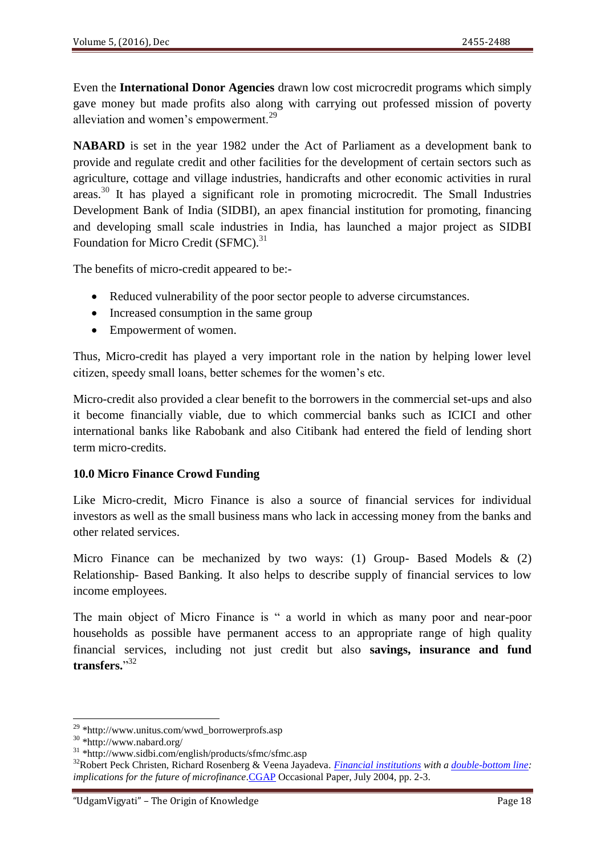Even the **International Donor Agencies** drawn low cost microcredit programs which simply gave money but made profits also along with carrying out professed mission of poverty alleviation and women's empowerment.<sup>29</sup>

**NABARD** is set in the year 1982 under the Act of Parliament as a development bank to provide and regulate credit and other facilities for the development of certain sectors such as agriculture, cottage and village industries, handicrafts and other economic activities in rural areas.<sup>30</sup> It has played a significant role in promoting microcredit. The Small Industries Development Bank of India (SIDBI), an apex financial institution for promoting, financing and developing small scale industries in India, has launched a major project as SIDBI Foundation for Micro Credit (SFMC).<sup>31</sup>

The benefits of micro-credit appeared to be:-

- Reduced vulnerability of the poor sector people to adverse circumstances.
- Increased consumption in the same group
- Empowerment of women.

Thus, Micro-credit has played a very important role in the nation by helping lower level citizen, speedy small loans, better schemes for the women's etc.

Micro-credit also provided a clear benefit to the borrowers in the commercial set-ups and also it become financially viable, due to which commercial banks such as ICICI and other international banks like Rabobank and also Citibank had entered the field of lending short term micro-credits.

## **10.0 Micro Finance Crowd Funding**

Like Micro-credit, Micro Finance is also a source of financial services for individual investors as well as the small business mans who lack in accessing money from the banks and other related services.

Micro Finance can be mechanized by two ways: (1) Group- Based Models  $\&$  (2) Relationship- Based Banking. It also helps to describe supply of financial services to low income employees.

The main object of Micro Finance is " a world in which as many poor and near-poor households as possible have permanent access to an appropriate range of high quality financial services, including not just credit but also **savings, insurance and fund**  transfers."<sup>32</sup>

<sup>&</sup>lt;sup>29</sup> \*http://www.unitus.com/wwd\_borrowerprofs.asp

<sup>30</sup> \*http://www.nabard.org/

<sup>31</sup> \*http://www.sidbi.com/english/products/sfmc/sfmc.asp

<sup>32</sup>Robert Peck Christen, Richard Rosenberg & Veena Jayadeva. *[Financial institutions](https://en.wikipedia.org/wiki/Financial_institutions) with a [double-bottom line:](https://en.wikipedia.org/wiki/Double_bottom_line) implications for the future of microfinance*[.CGAP](https://en.wikipedia.org/wiki/CGAP) Occasional Paper, July 2004, pp. 2-3.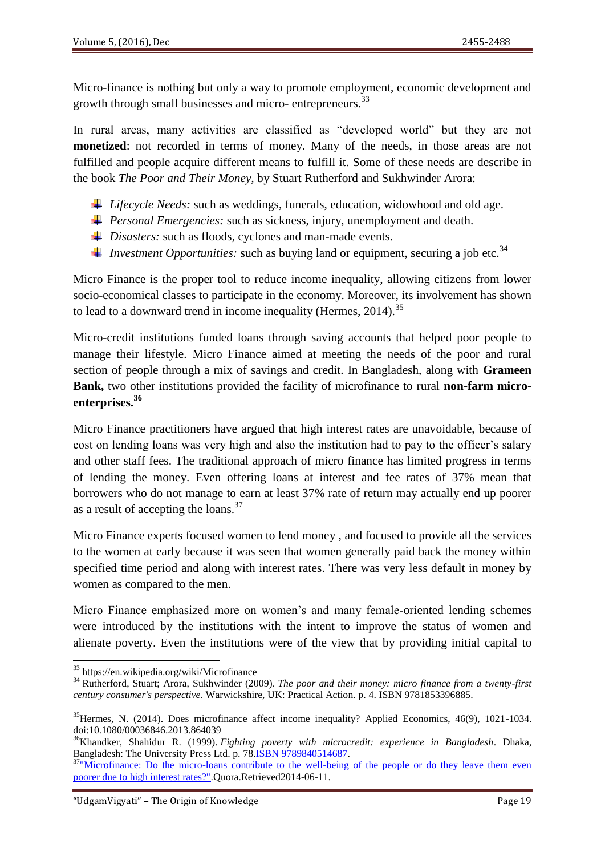Micro-finance is nothing but only a way to promote employment, economic development and growth through small businesses and micro- entrepreneurs.<sup>33</sup>

In rural areas, many activities are classified as "developed world" but they are not **monetized**: not recorded in terms of money. Many of the needs, in those areas are not fulfilled and people acquire different means to fulfill it. Some of these needs are describe in the book *The Poor and Their Money,* by Stuart Rutherford and Sukhwinder Arora:

- *Lifecycle Needs:* such as weddings, funerals, education, widowhood and old age.
- *Personal Emergencies:* such as sickness, injury, unemployment and death.
- *Disasters:* such as floods, cyclones and man-made events.
- *Investment Opportunities:* such as buying land or equipment, securing a job etc.<sup>34</sup>

Micro Finance is the proper tool to reduce income inequality, allowing citizens from lower socio-economical classes to participate in the economy. Moreover, its involvement has shown to lead to a downward trend in income inequality (Hermes,  $2014$ ).<sup>35</sup>

Micro-credit institutions funded loans through saving accounts that helped poor people to manage their lifestyle. Micro Finance aimed at meeting the needs of the poor and rural section of people through a mix of savings and credit. In Bangladesh, along with **Grameen Bank,** two other institutions provided the facility of microfinance to rural **non-farm microenterprises.<sup>36</sup>**

Micro Finance practitioners have argued that high interest rates are unavoidable, because of cost on lending loans was very high and also the institution had to pay to the officer's salary and other staff fees. The traditional approach of micro finance has limited progress in terms of lending the money. Even offering loans at interest and fee rates of 37% mean that borrowers who do not manage to earn at least 37% rate of return may actually end up poorer as a result of accepting the loans. $37$ 

Micro Finance experts focused women to lend money , and focused to provide all the services to the women at early because it was seen that women generally paid back the money within specified time period and along with interest rates. There was very less default in money by women as compared to the men.

Micro Finance emphasized more on women's and many female-oriented lending schemes were introduced by the institutions with the intent to improve the status of women and alienate poverty. Even the institutions were of the view that by providing initial capital to

<sup>33</sup> https://en.wikipedia.org/wiki/Microfinance

<sup>34</sup> Rutherford, Stuart; Arora, Sukhwinder (2009). *The poor and their money: micro finance from a twenty-first century consumer's perspective*. Warwickshire, UK: Practical Action. p. 4. [ISBN](https://en.wikipedia.org/wiki/International_Standard_Book_Number) [9781853396885.](https://en.wikipedia.org/wiki/Special:BookSources/9781853396885)

<sup>&</sup>lt;sup>35</sup>Hermes, N. (2014). Does microfinance affect income inequality? Applied Economics, 46(9), 1021-1034. doi:10.1080/00036846.2013.864039

<sup>36</sup>Khandker, Shahidur R. (1999). *Fighting poverty with microcredit: experience in Bangladesh*. Dhaka, Bangladesh: The University Press Ltd. p. 7[8.ISBN](https://en.wikipedia.org/wiki/International_Standard_Book_Number) [9789840514687.](https://en.wikipedia.org/wiki/Special:BookSources/9789840514687)

<sup>&</sup>lt;sup>37</sup>"Microfinance: Do the micro-loans contribute to the well-being of the people or do they leave them even [poorer due to high interest rates?".](http://www.quora.com/Microfinance/Do-the-micro-loans-contribute-to-the-well-being-of-the-people-or-do-they-leave-them-even-poorer-due-to-high-interest-rates)Quora.Retrieved2014-06-11.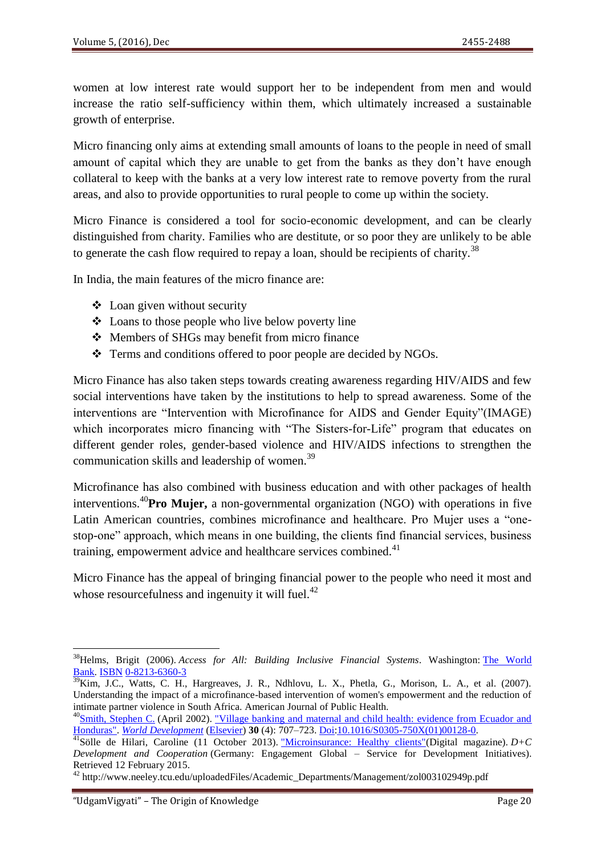women at low interest rate would support her to be independent from men and would increase the ratio self-sufficiency within them, which ultimately increased a sustainable growth of enterprise.

Micro financing only aims at extending small amounts of loans to the people in need of small amount of capital which they are unable to get from the banks as they don't have enough collateral to keep with the banks at a very low interest rate to remove poverty from the rural areas, and also to provide opportunities to rural people to come up within the society.

Micro Finance is considered a tool for socio-economic development, and can be clearly distinguished from charity. Families who are destitute, or so poor they are unlikely to be able to generate the cash flow required to repay a loan, should be recipients of charity.<sup>38</sup>

In India, the main features of the micro finance are:

- Loan given without security
- Loans to those people who live below poverty line
- ❖ Members of SHGs may benefit from micro finance
- Terms and conditions offered to poor people are decided by NGOs.

Micro Finance has also taken steps towards creating awareness regarding HIV/AIDS and few social interventions have taken by the institutions to help to spread awareness. Some of the interventions are "Intervention with Microfinance for AIDS and Gender Equity"(IMAGE) which incorporates micro financing with "The Sisters-for-Life" program that educates on different gender roles, gender-based violence and HIV/AIDS infections to strengthen the communication skills and leadership of women.<sup>39</sup>

Microfinance has also combined with business education and with other packages of health interventions.<sup>40</sup>**Pro Mujer,** a non-governmental organization (NGO) with operations in five Latin American countries, combines microfinance and healthcare. Pro Mujer uses a "onestop-one" approach, which means in one building, the clients find financial services, business training, empowerment advice and healthcare services combined. $41$ 

Micro Finance has the appeal of bringing financial power to the people who need it most and whose resourcefulness and ingenuity it will fuel. $^{42}$ 

<sup>38</sup>Helms, Brigit (2006). *Access for All: Building Inclusive Financial Systems*. Washington: [The World](https://en.wikipedia.org/wiki/The_World_Bank)  [Bank.](https://en.wikipedia.org/wiki/The_World_Bank) [ISBN](https://en.wikipedia.org/wiki/International_Standard_Book_Number) [0-8213-6360-3](https://en.wikipedia.org/wiki/Special:BookSources/0-8213-6360-3)

 $\frac{39}{39}$ Kim, J.C., Watts, C. H., Hargreaves, J. R., Ndhlovu, L. X., Phetla, G., Morison, L. A., et al. (2007). Understanding the impact of a microfinance-based intervention of women's empowerment and the reduction of intimate partner violence in South Africa. American Journal of Public Health.

<sup>&</sup>lt;sup>40</sup>[Smith, Stephen C.](https://en.wikipedia.org/wiki/Stephen_C._Smith_(economist)) (April 2002). "Village banking and maternal and child health: evidence from Ecuador and [Honduras".](http://dx.doi.org/10.1016/S0305-750X(01)00128-0) *[World Development](https://en.wikipedia.org/wiki/World_Development_(journal))* [\(Elsevier\)](https://en.wikipedia.org/wiki/Elsevier) **30** (4): 707–723. [Doi](https://en.wikipedia.org/wiki/Digital_object_identifier)[:10.1016/S0305-750X\(01\)00128-0.](https://dx.doi.org/10.1016%2FS0305-750X%2801%2900128-0)

<sup>4&</sup>lt;sup>1</sup>Sölle de Hilari, Caroline (11 October 2013). "Microinsurance: Healthy clients" (Digital magazine). *D+C Development and Cooperation* (Germany: Engagement Global – Service for Development Initiatives). Retrieved 12 February 2015.

<sup>42</sup> http://www.neeley.tcu.edu/uploadedFiles/Academic\_Departments/Management/zol003102949p.pdf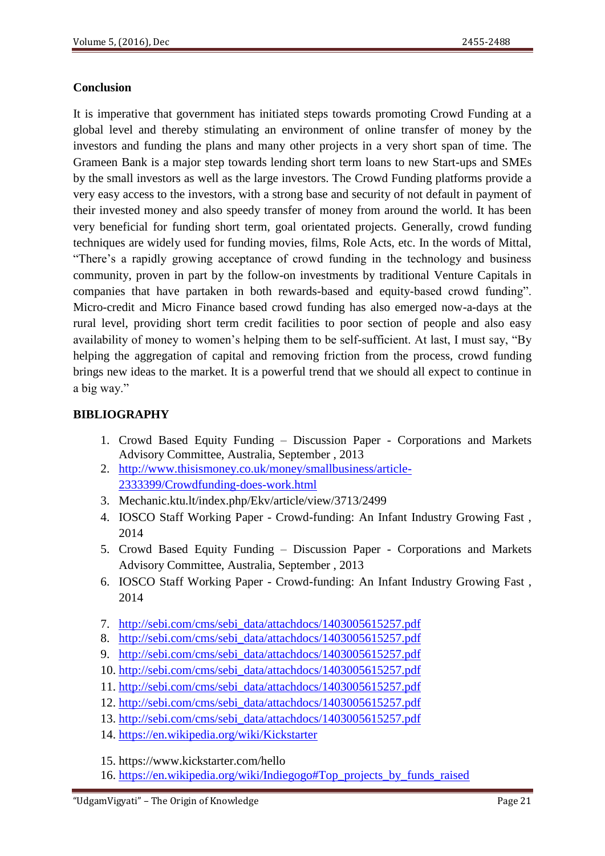## **Conclusion**

It is imperative that government has initiated steps towards promoting Crowd Funding at a global level and thereby stimulating an environment of online transfer of money by the investors and funding the plans and many other projects in a very short span of time. The Grameen Bank is a major step towards lending short term loans to new Start-ups and SMEs by the small investors as well as the large investors. The Crowd Funding platforms provide a very easy access to the investors, with a strong base and security of not default in payment of their invested money and also speedy transfer of money from around the world. It has been very beneficial for funding short term, goal orientated projects. Generally, crowd funding techniques are widely used for funding movies, films, Role Acts, etc. In the words of Mittal, ―There's a rapidly growing acceptance of crowd funding in the technology and business community, proven in part by the follow-on investments by traditional Venture Capitals in companies that have partaken in both rewards-based and equity-based crowd funding". Micro-credit and Micro Finance based crowd funding has also emerged now-a-days at the rural level, providing short term credit facilities to poor section of people and also easy availability of money to women's helping them to be self-sufficient. At last, I must say, "By helping the aggregation of capital and removing friction from the process, crowd funding brings new ideas to the market. It is a powerful trend that we should all expect to continue in a big way."

## **BIBLIOGRAPHY**

- 1. Crowd Based Equity Funding Discussion Paper Corporations and Markets Advisory Committee, Australia, September , 2013
- 2. [http://www.thisismoney.co.uk/money/smallbusiness/article-](http://www.thisismoney.co.uk/money/smallbusiness/article-2333399/Crowdfunding-does-work.html)[2333399/Crowdfunding-does-work.html](http://www.thisismoney.co.uk/money/smallbusiness/article-2333399/Crowdfunding-does-work.html)
- 3. Mechanic.ktu.lt/index.php/Ekv/article/view/3713/2499
- 4. IOSCO Staff Working Paper Crowd-funding: An Infant Industry Growing Fast , 2014
- 5. Crowd Based Equity Funding Discussion Paper Corporations and Markets Advisory Committee, Australia, September , 2013
- 6. IOSCO Staff Working Paper Crowd-funding: An Infant Industry Growing Fast , 2014
- 7. [http://sebi.com/cms/sebi\\_data/attachdocs/1403005615257.pdf](http://sebi.com/cms/sebi_data/attachdocs/1403005615257.pdf)
- 8. [http://sebi.com/cms/sebi\\_data/attachdocs/1403005615257.pdf](http://sebi.com/cms/sebi_data/attachdocs/1403005615257.pdf)
- 9. [http://sebi.com/cms/sebi\\_data/attachdocs/1403005615257.pdf](http://sebi.com/cms/sebi_data/attachdocs/1403005615257.pdf)
- 10. [http://sebi.com/cms/sebi\\_data/attachdocs/1403005615257.pdf](http://sebi.com/cms/sebi_data/attachdocs/1403005615257.pdf)
- 11. [http://sebi.com/cms/sebi\\_data/attachdocs/1403005615257.pdf](http://sebi.com/cms/sebi_data/attachdocs/1403005615257.pdf)
- 12. [http://sebi.com/cms/sebi\\_data/attachdocs/1403005615257.pdf](http://sebi.com/cms/sebi_data/attachdocs/1403005615257.pdf)
- 13. [http://sebi.com/cms/sebi\\_data/attachdocs/1403005615257.pdf](http://sebi.com/cms/sebi_data/attachdocs/1403005615257.pdf)
- 14. <https://en.wikipedia.org/wiki/Kickstarter>
- 15. https://www.kickstarter.com/hello
- 16. [https://en.wikipedia.org/wiki/Indiegogo#Top\\_projects\\_by\\_funds\\_raised](https://en.wikipedia.org/wiki/Indiegogo#Top_projects_by_funds_raised)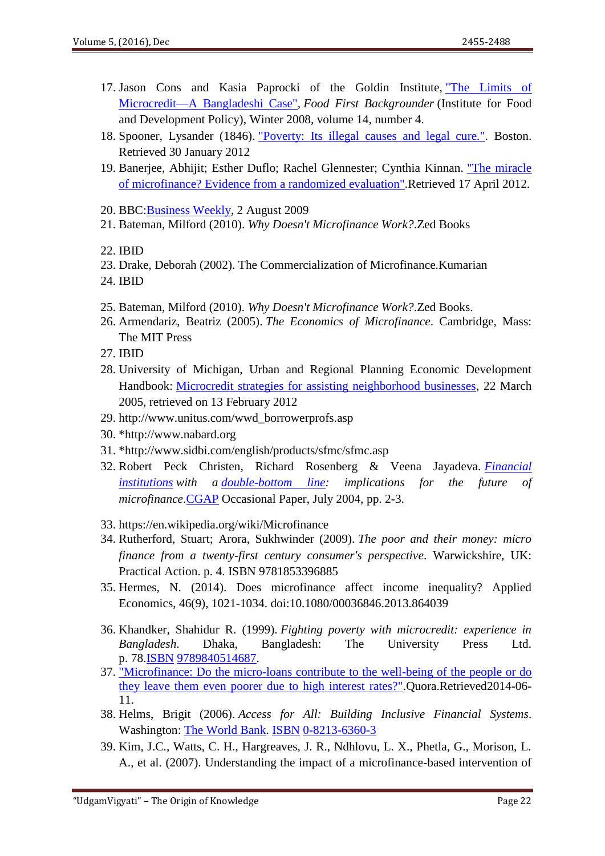- 17. Jason Cons and Kasia Paprocki of the Goldin Institute, ["The Limits of](http://www.foodfirst.org/en/node/2351)  [Microcredit—A Bangladeshi Case",](http://www.foodfirst.org/en/node/2351) *Food First Backgrounder* (Institute for Food and Development Policy), Winter 2008, volume 14, number 4.
- 18. Spooner, Lysander (1846). ["Poverty: Its illegal causes and legal cure.".](http://www.lysanderspooner.org/Poverty.htm) Boston. Retrieved 30 January 2012
- 19. Banerjee, Abhijit; Esther Duflo; Rachel Glennester; Cynthia Kinnan. ["The miracle](http://www.povertyactionlab.org/evaluation/measuring-impact-microfinance-hyderabad-india)  [of microfinance? Evidence from a randomized evaluation".](http://www.povertyactionlab.org/evaluation/measuring-impact-microfinance-hyderabad-india)Retrieved 17 April 2012.
- 20. BBC[:Business Weekly,](http://www.bbc.co.uk/programmes/p003s71s) 2 August 2009
- 21. Bateman, Milford (2010). *Why Doesn't Microfinance Work?*.Zed Books
- 22. IBID
- 23. Drake, Deborah (2002). The Commercialization of Microfinance.Kumarian
- 24. IBID
- 25. Bateman, Milford (2010). *Why Doesn't Microfinance Work?*.Zed Books.
- 26. Armendariz, Beatriz (2005). *The Economics of Microfinance*. Cambridge, Mass: The MIT Press
- 27. IBID
- 28. University of Michigan, Urban and Regional Planning Economic Development Handbook: [Microcredit strategies for assisting neighborhood businesses,](http://www.umich.edu/~econdev/microcredit/) 22 March 2005, retrieved on 13 February 2012
- 29. http://www.unitus.com/wwd\_borrowerprofs.asp
- 30. \*http://www.nabard.org
- 31. \*http://www.sidbi.com/english/products/sfmc/sfmc.asp
- 32. Robert Peck Christen, Richard Rosenberg & Veena Jayadeva. *[Financial](https://en.wikipedia.org/wiki/Financial_institutions)  [institutions](https://en.wikipedia.org/wiki/Financial_institutions) with a [double-bottom line:](https://en.wikipedia.org/wiki/Double_bottom_line) implications for the future of microfinance*[.CGAP](https://en.wikipedia.org/wiki/CGAP) Occasional Paper, July 2004, pp. 2-3.
- 33. https://en.wikipedia.org/wiki/Microfinance
- 34. Rutherford, Stuart; Arora, Sukhwinder (2009). *The poor and their money: micro finance from a twenty-first century consumer's perspective*. Warwickshire, UK: Practical Action. p. 4. [ISBN](https://en.wikipedia.org/wiki/International_Standard_Book_Number) [9781853396885](https://en.wikipedia.org/wiki/Special:BookSources/9781853396885)
- 35. Hermes, N. (2014). Does microfinance affect income inequality? Applied Economics, 46(9), 1021-1034. doi:10.1080/00036846.2013.864039
- 36. Khandker, Shahidur R. (1999). *Fighting poverty with microcredit: experience in Bangladesh*. Dhaka, Bangladesh: The University Press Ltd. p. 78[.ISBN](https://en.wikipedia.org/wiki/International_Standard_Book_Number) [9789840514687.](https://en.wikipedia.org/wiki/Special:BookSources/9789840514687)
- 37. ["Microfinance: Do the micro-loans contribute to the well-being of the people or do](http://www.quora.com/Microfinance/Do-the-micro-loans-contribute-to-the-well-being-of-the-people-or-do-they-leave-them-even-poorer-due-to-high-interest-rates)  [they leave them even poorer due to high interest rates?".](http://www.quora.com/Microfinance/Do-the-micro-loans-contribute-to-the-well-being-of-the-people-or-do-they-leave-them-even-poorer-due-to-high-interest-rates)Quora.Retrieved2014-06- 11.
- 38. Helms, Brigit (2006). *Access for All: Building Inclusive Financial Systems*. Washington: [The World Bank.](https://en.wikipedia.org/wiki/The_World_Bank) [ISBN](https://en.wikipedia.org/wiki/International_Standard_Book_Number) [0-8213-6360-3](https://en.wikipedia.org/wiki/Special:BookSources/0-8213-6360-3)
- 39. Kim, J.C., Watts, C. H., Hargreaves, J. R., Ndhlovu, L. X., Phetla, G., Morison, L. A., et al. (2007). Understanding the impact of a microfinance-based intervention of